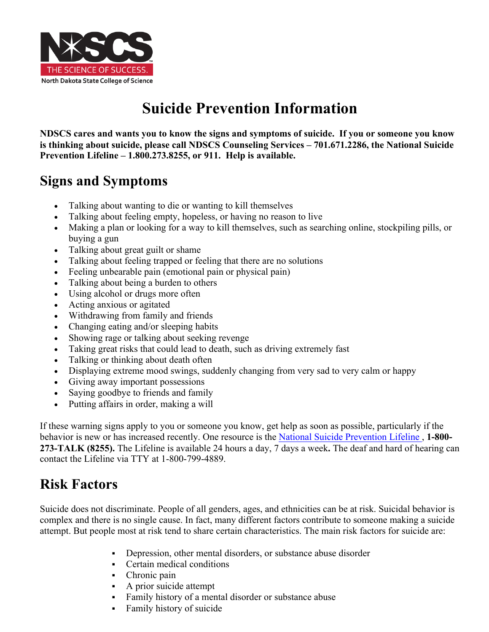

# **Suicide Prevention Information**

**NDSCS cares and wants you to know the signs and symptoms of suicide. If you or someone you know is thinking about suicide, please call NDSCS Counseling Services – 701.671.2286, the National Suicide Prevention Lifeline – 1.800.273.8255, or 911. Help is available.**

## **Signs and Symptoms**

- Talking about wanting to die or wanting to kill themselves
- Talking about feeling empty, hopeless, or having no reason to live
- Making a plan or looking for a way to kill themselves, such as searching online, stockpiling pills, or buying a gun
- Talking about great guilt or shame
- Talking about feeling trapped or feeling that there are no solutions
- Feeling unbearable pain (emotional pain or physical pain)
- Talking about being a burden to others
- Using alcohol or drugs more often
- Acting anxious or agitated
- Withdrawing from family and friends
- Changing eating and/or sleeping habits
- Showing rage or talking about seeking revenge
- Taking great risks that could lead to death, such as driving extremely fast
- Talking or thinking about death often
- Displaying extreme mood swings, suddenly changing from very sad to very calm or happy
- Giving away important possessions
- Saying goodbye to friends and family
- Putting affairs in order, making a will

If these warning signs apply to you or someone you know, get help as soon as possible, particularly if the behavior is new or has increased recently. One resource is the National Suicide Prevention Lifeline , **1-800- 273-TALK (8255).** The Lifeline is available 24 hours a day, 7 days a week**.** The deaf and hard of hearing can contact the Lifeline via TTY at 1-800-799-4889.

### **Risk Factors**

Suicide does not discriminate. People of all genders, ages, and ethnicities can be at risk. Suicidal behavior is complex and there is no single cause. In fact, many different factors contribute to someone making a suicide attempt. But people most at risk tend to share certain characteristics. The main risk factors for suicide are:

- Depression, other mental disorders, or substance abuse disorder
- § Certain medical conditions
- Chronic pain
- § A prior suicide attempt
- Family history of a mental disorder or substance abuse
- Family history of suicide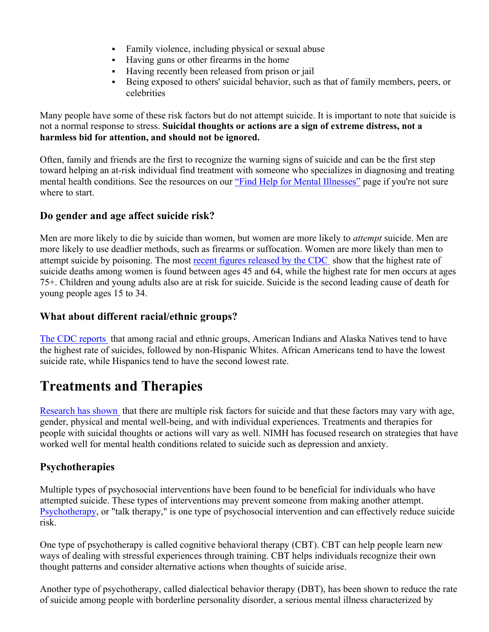- Family violence, including physical or sexual abuse
- § Having guns or other firearms in the home
- Having recently been released from prison or jail
- Being exposed to others' suicidal behavior, such as that of family members, peers, or celebrities

Many people have some of these risk factors but do not attempt suicide. It is important to note that suicide is not a normal response to stress. **Suicidal thoughts or actions are a sign of extreme distress, not a harmless bid for attention, and should not be ignored.**

Often, family and friends are the first to recognize the warning signs of suicide and can be the first step toward helping an at-risk individual find treatment with someone who specializes in diagnosing and treating mental health conditions. See the resources on our "Find Help for Mental Illnesses" page if you're not sure where to start.

#### **Do gender and age affect suicide risk?**

Men are more likely to die by suicide than women, but women are more likely to *attempt* suicide. Men are more likely to use deadlier methods, such as firearms or suffocation. Women are more likely than men to attempt suicide by poisoning. The most recent figures released by the CDC show that the highest rate of suicide deaths among women is found between ages 45 and 64, while the highest rate for men occurs at ages 75+. Children and young adults also are at risk for suicide. Suicide is the second leading cause of death for young people ages 15 to 34.

#### **What about different racial/ethnic groups?**

The CDC reports that among racial and ethnic groups, American Indians and Alaska Natives tend to have the highest rate of suicides, followed by non-Hispanic Whites. African Americans tend to have the lowest suicide rate, while Hispanics tend to have the second lowest rate.

### **Treatments and Therapies**

Research has shown that there are multiple risk factors for suicide and that these factors may vary with age, gender, physical and mental well-being, and with individual experiences. Treatments and therapies for people with suicidal thoughts or actions will vary as well. NIMH has focused research on strategies that have worked well for mental health conditions related to suicide such as depression and anxiety.

#### **Psychotherapies**

Multiple types of psychosocial interventions have been found to be beneficial for individuals who have attempted suicide. These types of interventions may prevent someone from making another attempt. Psychotherapy, or "talk therapy," is one type of psychosocial intervention and can effectively reduce suicide risk.

One type of psychotherapy is called cognitive behavioral therapy (CBT). CBT can help people learn new ways of dealing with stressful experiences through training. CBT helps individuals recognize their own thought patterns and consider alternative actions when thoughts of suicide arise.

Another type of psychotherapy, called dialectical behavior therapy (DBT), has been shown to reduce the rate of suicide among people with borderline personality disorder, a serious mental illness characterized by